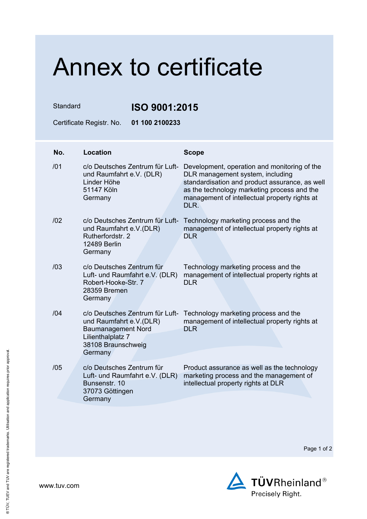## Annex to certificate

Standard **ISO 9001:2015**

Certificate Registr. No. **01 100 2100233**

| No. | <b>Location</b>                                                                                                                               | <b>Scope</b>                                                                                                                                                                                                                               |
|-----|-----------------------------------------------------------------------------------------------------------------------------------------------|--------------------------------------------------------------------------------------------------------------------------------------------------------------------------------------------------------------------------------------------|
| /01 | c/o Deutsches Zentrum für Luft-<br>und Raumfahrt e.V. (DLR)<br>Linder Höhe<br>51147 Köln<br>Germany                                           | Development, operation and monitoring of the<br>DLR management system, including<br>standardisation and product assurance, as well<br>as the technology marketing process and the<br>management of intellectual property rights at<br>DLR. |
| 102 | c/o Deutsches Zentrum für Luft-<br>und Raumfahrt e.V.(DLR)<br>Rutherfordstr, 2<br>12489 Berlin<br>Germany                                     | Technology marketing process and the<br>management of intellectual property rights at<br><b>DLR</b>                                                                                                                                        |
| /03 | c/o Deutsches Zentrum für<br>Luft- und Raumfahrt e.V. (DLR)<br>Robert-Hooke-Str. 7<br>28359 Bremen<br>Germany                                 | Technology marketing process and the<br>management of intellectual property rights at<br><b>DLR</b>                                                                                                                                        |
| /04 | c/o Deutsches Zentrum für Luft-<br>und Raumfahrt e.V.(DLR)<br><b>Baumanagement Nord</b><br>Lilienthalplatz 7<br>38108 Braunschweig<br>Germany | Technology marketing process and the<br>management of intellectual property rights at<br><b>DLR</b>                                                                                                                                        |
| /05 | c/o Deutsches Zentrum für<br>Luft- und Raumfahrt e.V. (DLR)<br>Bunsenstr, 10<br>37073 Göttingen<br>Germany                                    | Product assurance as well as the technology<br>marketing process and the management of<br>intellectual property rights at DLR                                                                                                              |

Page 1 of 2